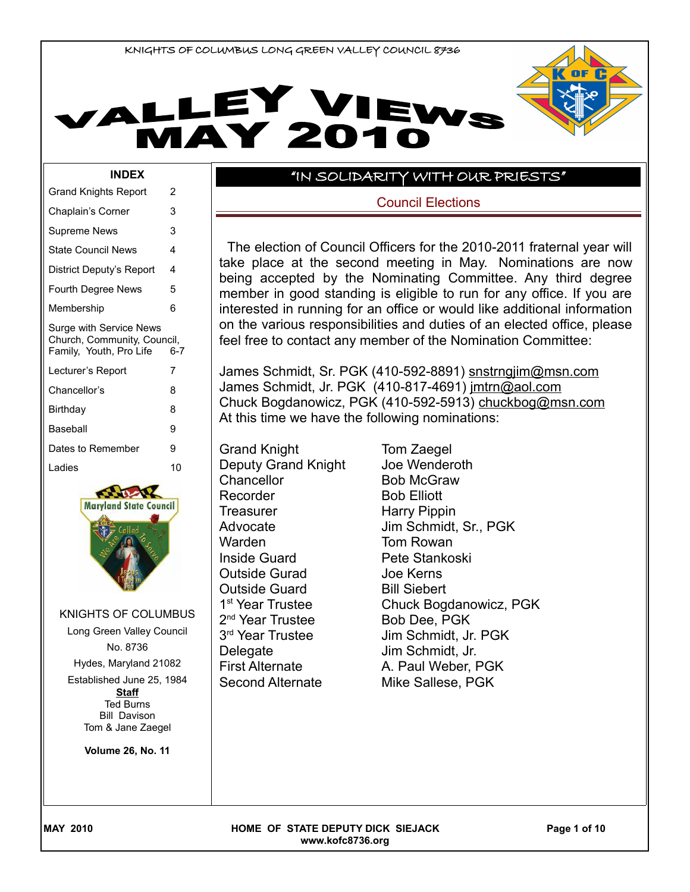



#### **INDEX**

| <b>Grand Knights Report</b>                            | 2       |
|--------------------------------------------------------|---------|
| Chaplain's Corner                                      | 3       |
| Supreme News                                           | 3       |
| <b>State Council News</b>                              | 4       |
| District Deputy's Report                               | 4       |
| <b>Fourth Degree News</b>                              | 5       |
| Membership                                             | հ       |
| Surge with Service News                                |         |
| Church, Community, Council,<br>Family, Youth, Pro Life | $6 - 7$ |
| Lecturer's Report                                      | 7       |
| Chancellor's                                           | 8       |
| Birthday                                               | 8       |
| Baseball                                               | 9       |
| Dates to Remember                                      | 9       |
| Ladies                                                 | 10      |



KNIGHTS OF COLUMBUS Long Green Valley Council No. 8736 Hydes, Maryland 21082 Established June 25, 1984 **Staff** Ted Burns

Bill Davison Tom & Jane Zaegel

**Volume 26, No. 11**

## "IN SOLIDARITY WITH OUR PRIESTS"

Council Elections

The election of Council Officers for the 2010-2011 fraternal year will take place at the second meeting in May. Nominations are now being accepted by the Nominating Committee. Any third degree member in good standing is eligible to run for any office. If you are interested in running for an office or would like additional information on the various responsibilities and duties of an elected office, please feel free to contact any member of the Nomination Committee:

James Schmidt, Sr. PGK (410-592-8891) snstrngjim@msn.com James Schmidt, Jr. PGK (410-817-4691) jmtrn@aol.com Chuck Bogdanowicz, PGK (410-592-5913) chuckbog@msn.com At this time we have the following nominations:

Grand Knight Tom Zaegel Deputy Grand Knight Joe Wenderoth Chancellor Bob McGraw Recorder Bob Elliott Treasurer Harry Pippin Warden **Tom Rowan** Inside Guard Pete Stankoski Outside Gurad Joe Kerns Outside Guard Bill Siebert 1<sup>st</sup> Year Trustee 2<sup>nd</sup> Year Trustee **Bob Dee, PGK** 3<sup>rd</sup> Year Trustee Delegate Jim Schmidt, Jr. Second Alternate Mike Sallese, PGK

Advocate Jim Schmidt, Sr., PGK Chuck Bogdanowicz, PGK Jim Schmidt, Jr. PGK First Alternate A. Paul Weber, PGK

MAY 2010 **Research Article State State CONTACT SIGNAL PAGE 108 OF STATE DEPUTY DICK SIEJACK Page 1 of 10 www.kofc8736.org**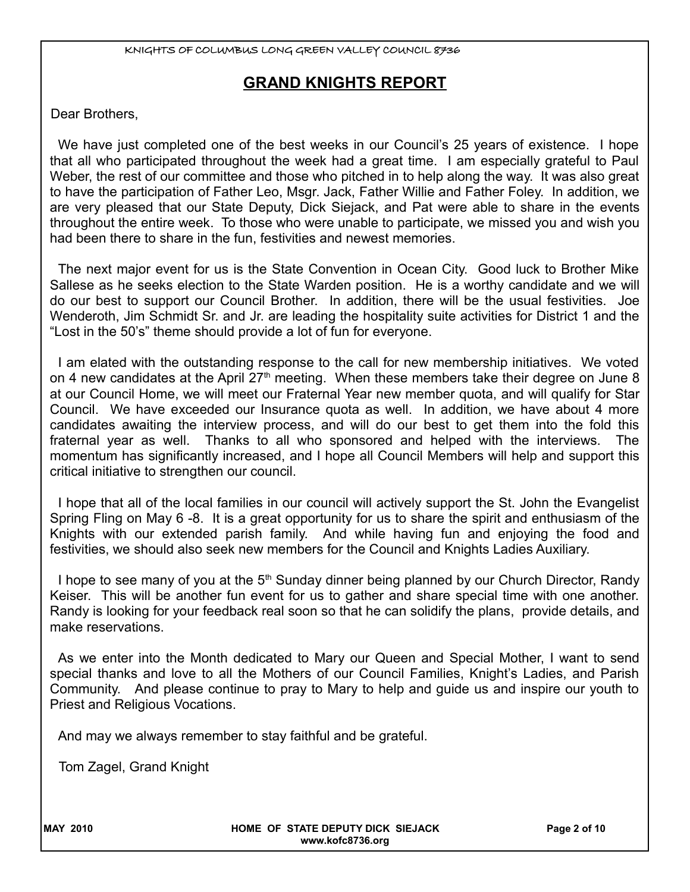# **GRAND KNIGHTS REPORT**

Dear Brothers,

We have just completed one of the best weeks in our Council's 25 years of existence. I hope that all who participated throughout the week had a great time. I am especially grateful to Paul Weber, the rest of our committee and those who pitched in to help along the way. It was also great to have the participation of Father Leo, Msgr. Jack, Father Willie and Father Foley. In addition, we are very pleased that our State Deputy, Dick Siejack, and Pat were able to share in the events throughout the entire week. To those who were unable to participate, we missed you and wish you had been there to share in the fun, festivities and newest memories.

The next major event for us is the State Convention in Ocean City. Good luck to Brother Mike Sallese as he seeks election to the State Warden position. He is a worthy candidate and we will do our best to support our Council Brother. In addition, there will be the usual festivities. Joe Wenderoth, Jim Schmidt Sr. and Jr. are leading the hospitality suite activities for District 1 and the "Lost in the 50's" theme should provide a lot of fun for everyone.

I am elated with the outstanding response to the call for new membership initiatives. We voted on 4 new candidates at the April  $27<sup>th</sup>$  meeting. When these members take their degree on June 8 at our Council Home, we will meet our Fraternal Year new member quota, and will qualify for Star Council. We have exceeded our Insurance quota as well. In addition, we have about 4 more candidates awaiting the interview process, and will do our best to get them into the fold this fraternal year as well. Thanks to all who sponsored and helped with the interviews. The momentum has significantly increased, and I hope all Council Members will help and support this critical initiative to strengthen our council.

I hope that all of the local families in our council will actively support the St. John the Evangelist Spring Fling on May 6 -8. It is a great opportunity for us to share the spirit and enthusiasm of the Knights with our extended parish family. And while having fun and enjoying the food and festivities, we should also seek new members for the Council and Knights Ladies Auxiliary.

I hope to see many of you at the  $5<sup>th</sup>$  Sunday dinner being planned by our Church Director, Randy Keiser. This will be another fun event for us to gather and share special time with one another. Randy is looking for your feedback real soon so that he can solidify the plans, provide details, and make reservations.

As we enter into the Month dedicated to Mary our Queen and Special Mother, I want to send special thanks and love to all the Mothers of our Council Families, Knight's Ladies, and Parish Community. And please continue to pray to Mary to help and guide us and inspire our youth to Priest and Religious Vocations.

And may we always remember to stay faithful and be grateful.

Tom Zagel, Grand Knight

MAY 2010 **MAY 2010 HOME OF STATE DEPUTY DICK SIEJACK Page 2 of 10 www.kofc8736.org**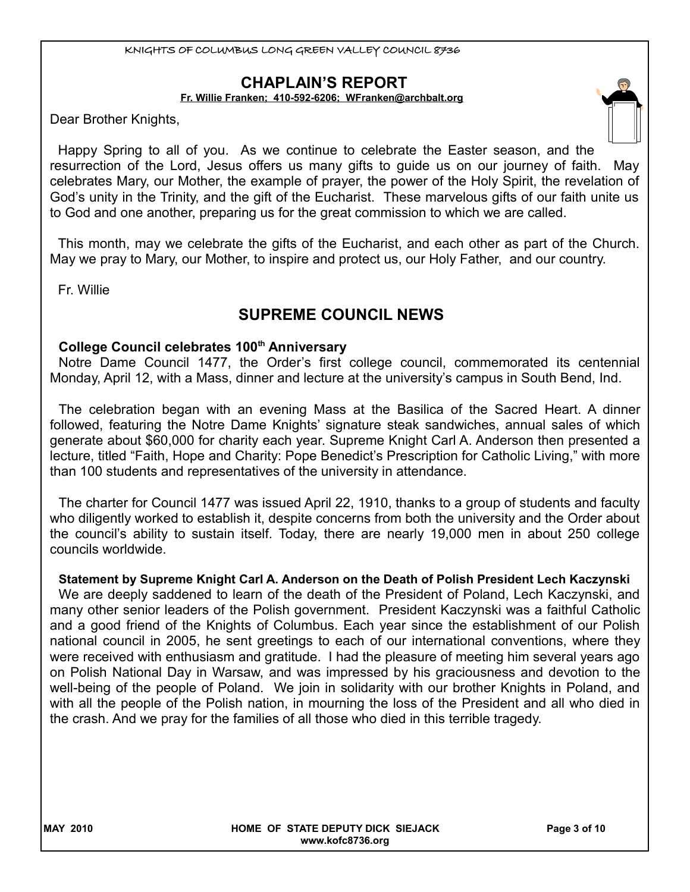# **CHAPLAIN'S REPORT**

**Fr. Willie Franken; 410-592-6206; [WFranken@archbalt.org](mailto:WFranken@archbalt.org)**

Dear Brother Knights,

Happy Spring to all of you. As we continue to celebrate the Easter season, and the resurrection of the Lord, Jesus offers us many gifts to guide us on our journey of faith. May celebrates Mary, our Mother, the example of prayer, the power of the Holy Spirit, the revelation of God's unity in the Trinity, and the gift of the Eucharist. These marvelous gifts of our faith unite us to God and one another, preparing us for the great commission to which we are called.

This month, may we celebrate the gifts of the Eucharist, and each other as part of the Church. May we pray to Mary, our Mother, to inspire and protect us, our Holy Father, and our country.

Fr. Willie

# **SUPREME COUNCIL NEWS**

## **College Council celebrates 100th Anniversary**

Notre Dame Council 1477, the Order's first college council, commemorated its centennial Monday, April 12, with a Mass, dinner and lecture at the university's campus in South Bend, Ind.

The celebration began with an evening Mass at the Basilica of the Sacred Heart. A dinner followed, featuring the Notre Dame Knights' signature steak sandwiches, annual sales of which generate about \$60,000 for charity each year. Supreme Knight Carl A. Anderson then presented a lecture, titled "Faith, Hope and Charity: Pope Benedict's Prescription for Catholic Living," with more than 100 students and representatives of the university in attendance.

The charter for Council 1477 was issued April 22, 1910, thanks to a group of students and faculty who diligently worked to establish it, despite concerns from both the university and the Order about the council's ability to sustain itself. Today, there are nearly 19,000 men in about 250 college councils worldwide.

## **Statement by Supreme Knight Carl A. Anderson on the Death of Polish President Lech Kaczynski**

We are deeply saddened to learn of the death of the President of Poland, Lech Kaczynski, and many other senior leaders of the Polish government. President Kaczynski was a faithful Catholic and a good friend of the Knights of Columbus. Each year since the establishment of our Polish national council in 2005, he sent greetings to each of our international conventions, where they were received with enthusiasm and gratitude. I had the pleasure of meeting him several years ago on Polish National Day in Warsaw, and was impressed by his graciousness and devotion to the well-being of the people of Poland. We join in solidarity with our brother Knights in Poland, and with all the people of the Polish nation, in mourning the loss of the President and all who died in the crash. And we pray for the families of all those who died in this terrible tragedy.

MAY 2010 **Research Article STATE DEPUTY DICK SIEJACK** Page 3 of 10 **www.kofc8736.org**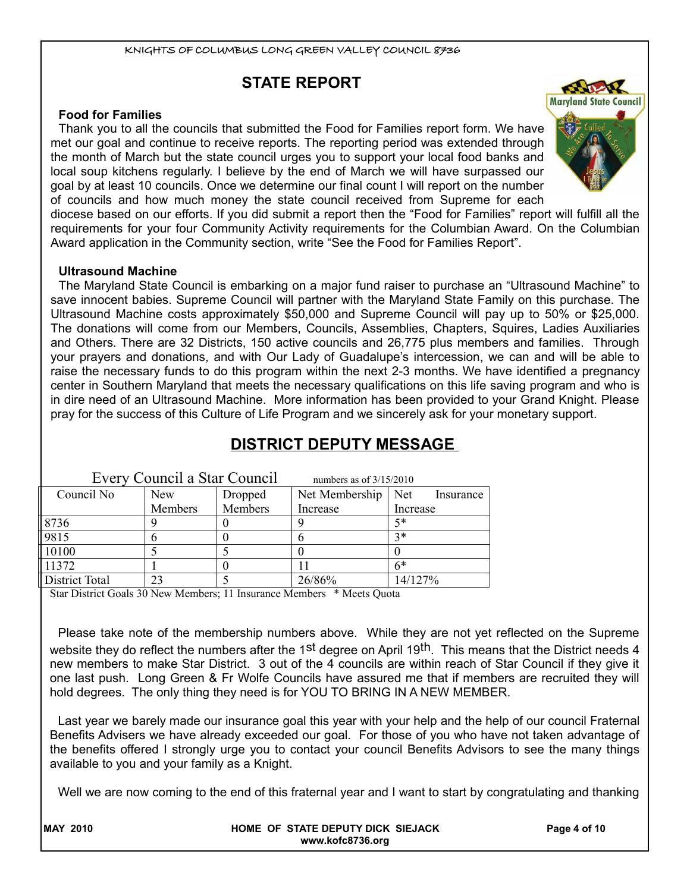# **STATE REPORT**

## **Food for Families**

Thank you to all the councils that submitted the Food for Families report form. We have met our goal and continue to receive reports. The reporting period was extended through the month of March but the state council urges you to support your local food banks and local soup kitchens regularly. I believe by the end of March we will have surpassed our goal by at least 10 councils. Once we determine our final count I will report on the number of councils and how much money the state council received from Supreme for each



diocese based on our efforts. If you did submit a report then the "Food for Families" report will fulfill all the requirements for your four Community Activity requirements for the Columbian Award. On the Columbian Award application in the Community section, write "See the Food for Families Report".

## **Ultrasound Machine**

The Maryland State Council is embarking on a major fund raiser to purchase an "Ultrasound Machine" to save innocent babies. Supreme Council will partner with the Maryland State Family on this purchase. The Ultrasound Machine costs approximately \$50,000 and Supreme Council will pay up to 50% or \$25,000. The donations will come from our Members, Councils, Assemblies, Chapters, Squires, Ladies Auxiliaries and Others. There are 32 Districts, 150 active councils and 26,775 plus members and families. Through your prayers and donations, and with Our Lady of Guadalupe's intercession, we can and will be able to raise the necessary funds to do this program within the next 2-3 months. We have identified a pregnancy center in Southern Maryland that meets the necessary qualifications on this life saving program and who is in dire need of an Ultrasound Machine. More information has been provided to your Grand Knight. Please pray for the success of this Culture of Life Program and we sincerely ask for your monetary support.

| Every Council a Star Council |            | numbers as of $3/15/2010$ |                |                  |
|------------------------------|------------|---------------------------|----------------|------------------|
| Council No                   | <b>New</b> | Dropped                   | Net Membership | Net<br>Insurance |
|                              | Members    | Members                   | Increase       | Increase         |
| 8736                         |            |                           |                | 5*               |
| 9815                         |            |                           |                | $3*$             |
| 10100                        |            |                           |                |                  |
| 11372                        |            |                           |                | $6*$             |
| <b>District Total</b>        | 23         |                           | 26/86%         | 14/127%          |

# **DISTRICT DEPUTY MESSAGE**

Star District Goals 30 New Members; 11 Insurance Members \* Meets Quota

Please take note of the membership numbers above. While they are not yet reflected on the Supreme website they do reflect the numbers after the 1<sup>st</sup> degree on April 19<sup>th</sup>. This means that the District needs 4 new members to make Star District. 3 out of the 4 councils are within reach of Star Council if they give it one last push. Long Green & Fr Wolfe Councils have assured me that if members are recruited they will hold degrees. The only thing they need is for YOU TO BRING IN A NEW MEMBER.

Last year we barely made our insurance goal this year with your help and the help of our council Fraternal Benefits Advisers we have already exceeded our goal. For those of you who have not taken advantage of the benefits offered I strongly urge you to contact your council Benefits Advisors to see the many things available to you and your family as a Knight.

Well we are now coming to the end of this fraternal year and I want to start by congratulating and thanking

| <b>MAY 2010</b> | HOME OF STATE DEPUTY DICK SIEJACK<br>www.kofc8736.org | Page 4 of 10 |
|-----------------|-------------------------------------------------------|--------------|
|                 |                                                       |              |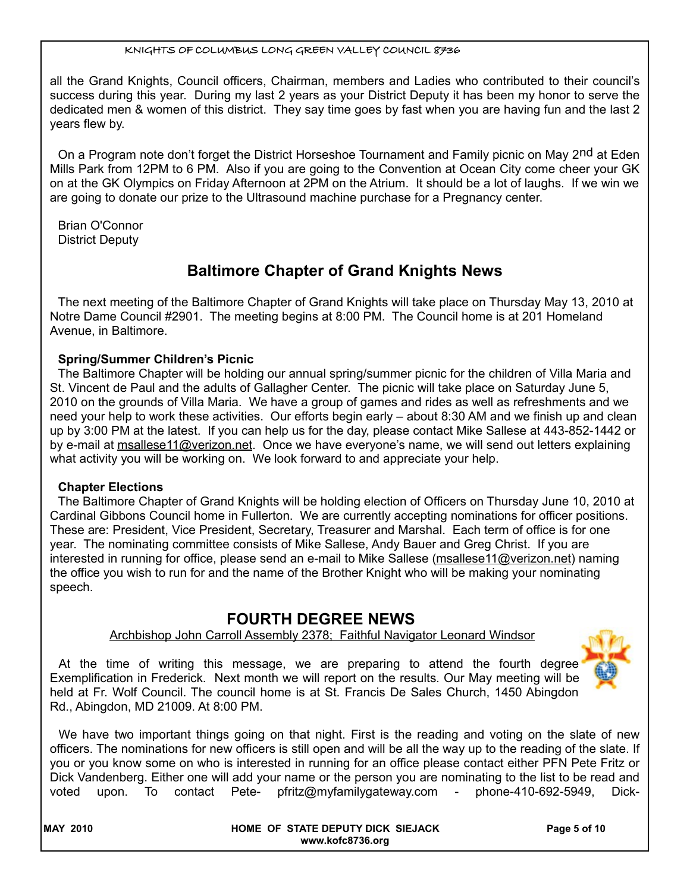all the Grand Knights, Council officers, Chairman, members and Ladies who contributed to their council's success during this year. During my last 2 years as your District Deputy it has been my honor to serve the dedicated men & women of this district. They say time goes by fast when you are having fun and the last 2 years flew by.

On a Program note don't forget the District Horseshoe Tournament and Family picnic on May 2<sup>nd</sup> at Eden Mills Park from 12PM to 6 PM. Also if you are going to the Convention at Ocean City come cheer your GK on at the GK Olympics on Friday Afternoon at 2PM on the Atrium. It should be a lot of laughs. If we win we are going to donate our prize to the Ultrasound machine purchase for a Pregnancy center.

Brian O'Connor District Deputy

# **Baltimore Chapter of Grand Knights News**

The next meeting of the Baltimore Chapter of Grand Knights will take place on Thursday May 13, 2010 at Notre Dame Council #2901. The meeting begins at 8:00 PM. The Council home is at 201 Homeland Avenue, in Baltimore.

## **Spring/Summer Children's Picnic**

The Baltimore Chapter will be holding our annual spring/summer picnic for the children of Villa Maria and St. Vincent de Paul and the adults of Gallagher Center. The picnic will take place on Saturday June 5, 2010 on the grounds of Villa Maria. We have a group of games and rides as well as refreshments and we need your help to work these activities. Our efforts begin early – about 8:30 AM and we finish up and clean up by 3:00 PM at the latest. If you can help us for the day, please contact Mike Sallese at 443-852-1442 or by e-mail at [msallese11@verizon.net.](mailto:msallese11@verizon.net) Once we have everyone's name, we will send out letters explaining what activity you will be working on. We look forward to and appreciate your help.

## **Chapter Elections**

The Baltimore Chapter of Grand Knights will be holding election of Officers on Thursday June 10, 2010 at Cardinal Gibbons Council home in Fullerton. We are currently accepting nominations for officer positions. These are: President, Vice President, Secretary, Treasurer and Marshal. Each term of office is for one year. The nominating committee consists of Mike Sallese, Andy Bauer and Greg Christ. If you are interested in running for office, please send an e-mail to Mike Sallese [\(msallese11@verizon.net\)](mailto:msallese11@verizon.net) naming the office you wish to run for and the name of the Brother Knight who will be making your nominating speech.

## **FOURTH DEGREE NEWS**

## Archbishop John Carroll Assembly 2378; Faithful Navigator Leonard Windsor

At the time of writing this message, we are preparing to attend the fourth degree Exemplification in Frederick. Next month we will report on the results. Our May meeting will be held at Fr. Wolf Council. The council home is at St. Francis De Sales Church, 1450 Abingdon Rd., Abingdon, MD 21009. At 8:00 PM.



| <b>MAY 2010</b> | HOME OF STATE DEPUTY DICK SIEJACK<br>www.kofc8736.org | Page 5 of 10 |
|-----------------|-------------------------------------------------------|--------------|
|                 |                                                       |              |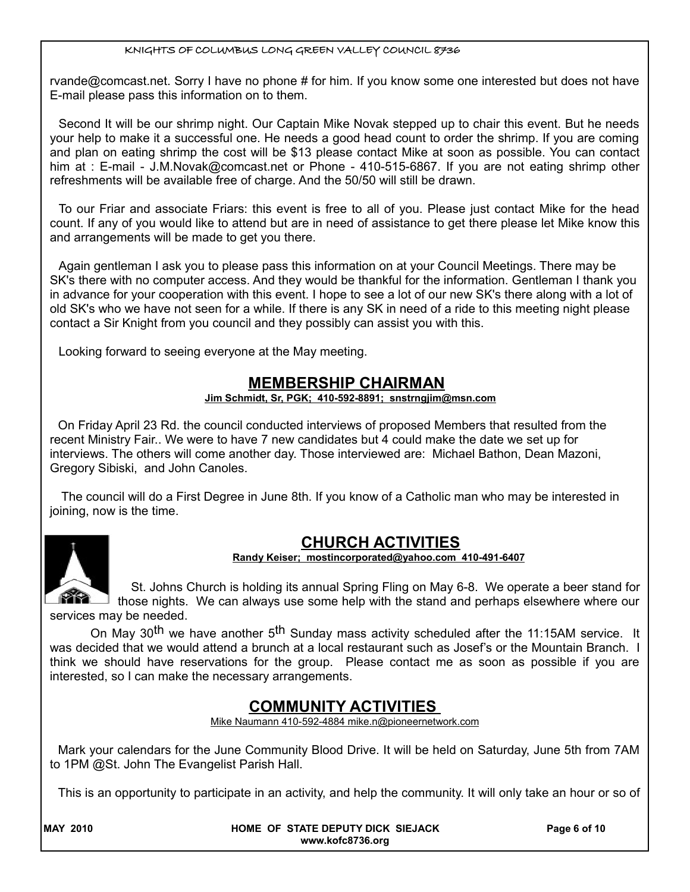rvande@comcast.net. Sorry I have no phone # for him. If you know some one interested but does not have E-mail please pass this information on to them.

Second It will be our shrimp night. Our Captain Mike Novak stepped up to chair this event. But he needs your help to make it a successful one. He needs a good head count to order the shrimp. If you are coming and plan on eating shrimp the cost will be \$13 please contact Mike at soon as possible. You can contact him at : E-mail - J.M.Novak@comcast.net or Phone - 410-515-6867. If you are not eating shrimp other refreshments will be available free of charge. And the 50/50 will still be drawn.

To our Friar and associate Friars: this event is free to all of you. Please just contact Mike for the head count. If any of you would like to attend but are in need of assistance to get there please let Mike know this and arrangements will be made to get you there.

Again gentleman I ask you to please pass this information on at your Council Meetings. There may be SK's there with no computer access. And they would be thankful for the information. Gentleman I thank you in advance for your cooperation with this event. I hope to see a lot of our new SK's there along with a lot of old SK's who we have not seen for a while. If there is any SK in need of a ride to this meeting night please contact a Sir Knight from you council and they possibly can assist you with this.

Looking forward to seeing everyone at the May meeting.

## **MEMBERSHIP CHAIRMAN**

## **Jim Schmidt, Sr, PGK; 410-592-8891; snstrngjim@msn.com**

On Friday April 23 Rd. the council conducted interviews of proposed Members that resulted from the recent Ministry Fair.. We were to have 7 new candidates but 4 could make the date we set up for interviews. The others will come another day. Those interviewed are: Michael Bathon, Dean Mazoni, Gregory Sibiski, and John Canoles.

 The council will do a First Degree in June 8th. If you know of a Catholic man who may be interested in joining, now is the time.



## **CHURCH ACTIVITIES**

 **Randy Keiser; [mostincorporated@yahoo.com](mailto:mostincorporated@yahoo.com) 410-491-6407**

St. Johns Church is holding its annual Spring Fling on May 6-8. We operate a beer stand for those nights. We can always use some help with the stand and perhaps elsewhere where our services may be needed.

On May 30<sup>th</sup> we have another 5<sup>th</sup> Sunday mass activity scheduled after the 11:15AM service. It

was decided that we would attend a brunch at a local restaurant such as Josef's or the Mountain Branch. I think we should have reservations for the group. Please contact me as soon as possible if you are interested, so I can make the necessary arrangements.

## **COMMUNITY ACTIVITIES**

Mike Naumann 410-592-4884 mike.n@pioneernetwork.com

Mark your calendars for the June Community Blood Drive. It will be held on Saturday, June 5th from 7AM to 1PM @St. John The Evangelist Parish Hall.

This is an opportunity to participate in an activity, and help the community. It will only take an hour or so of

| <b>MAY 2010</b> |
|-----------------|
|                 |

**HOME OF STATE DEPUTY DICK SIEJACK Page 6 of 10 www.kofc8736.org**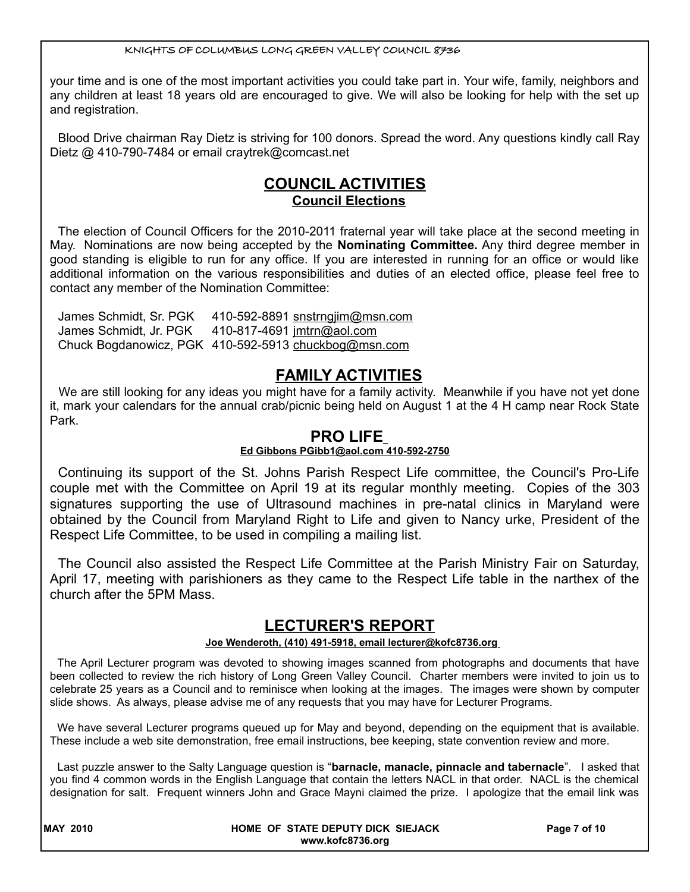your time and is one of the most important activities you could take part in. Your wife, family, neighbors and any children at least 18 years old are encouraged to give. We will also be looking for help with the set up and registration.

Blood Drive chairman Ray Dietz is striving for 100 donors. Spread the word. Any questions kindly call Ray Dietz @ 410-790-7484 or email craytrek@comcast.net

# **COUNCIL ACTIVITIES Council Elections**

The election of Council Officers for the 2010-2011 fraternal year will take place at the second meeting in May. Nominations are now being accepted by the **Nominating Committee.** Any third degree member in good standing is eligible to run for any office. If you are interested in running for an office or would like additional information on the various responsibilities and duties of an elected office, please feel free to contact any member of the Nomination Committee:

James Schmidt, Sr. PGK 410-592-8891 snstrngjim@msn.com James Schmidt, Jr. PGK 410-817-4691 jmtrn@aol.com Chuck Bogdanowicz, PGK 410-592-5913 [chuckbog@msn.com](mailto:chuckbog@msn.com)

# **FAMILY ACTIVITIES**

We are still looking for any ideas you might have for a family activity. Meanwhile if you have not yet done it, mark your calendars for the annual crab/picnic being held on August 1 at the 4 H camp near Rock State Park.

## **PRO LIFE**

## **Ed Gibbons PGibb1@aol.com 410-592-2750**

Continuing its support of the St. Johns Parish Respect Life committee, the Council's Pro-Life couple met with the Committee on April 19 at its regular monthly meeting. Copies of the 303 signatures supporting the use of Ultrasound machines in pre-natal clinics in Maryland were obtained by the Council from Maryland Right to Life and given to Nancy urke, President of the Respect Life Committee, to be used in compiling a mailing list.

The Council also assisted the Respect Life Committee at the Parish Ministry Fair on Saturday, April 17, meeting with parishioners as they came to the Respect Life table in the narthex of the church after the 5PM Mass.

# **LECTURER'S REPORT**

## **Joe Wenderoth, (410) 491-5918, email lecturer@kofc8736.org**

The April Lecturer program was devoted to showing images scanned from photographs and documents that have been collected to review the rich history of Long Green Valley Council. Charter members were invited to join us to celebrate 25 years as a Council and to reminisce when looking at the images. The images were shown by computer slide shows. As always, please advise me of any requests that you may have for Lecturer Programs.

We have several Lecturer programs queued up for May and beyond, depending on the equipment that is available. These include a web site demonstration, free email instructions, bee keeping, state convention review and more.

Last puzzle answer to the Salty Language question is "**barnacle, manacle, pinnacle and tabernacle**". I asked that you find 4 common words in the English Language that contain the letters NACL in that order. NACL is the chemical designation for salt. Frequent winners John and Grace Mayni claimed the prize. I apologize that the email link was

| <b>MAY 2010</b> | HOME OF STATE DEPUTY DICK SIEJACK | Page 7 of 10 |
|-----------------|-----------------------------------|--------------|
|                 | www.kofc8736.org                  |              |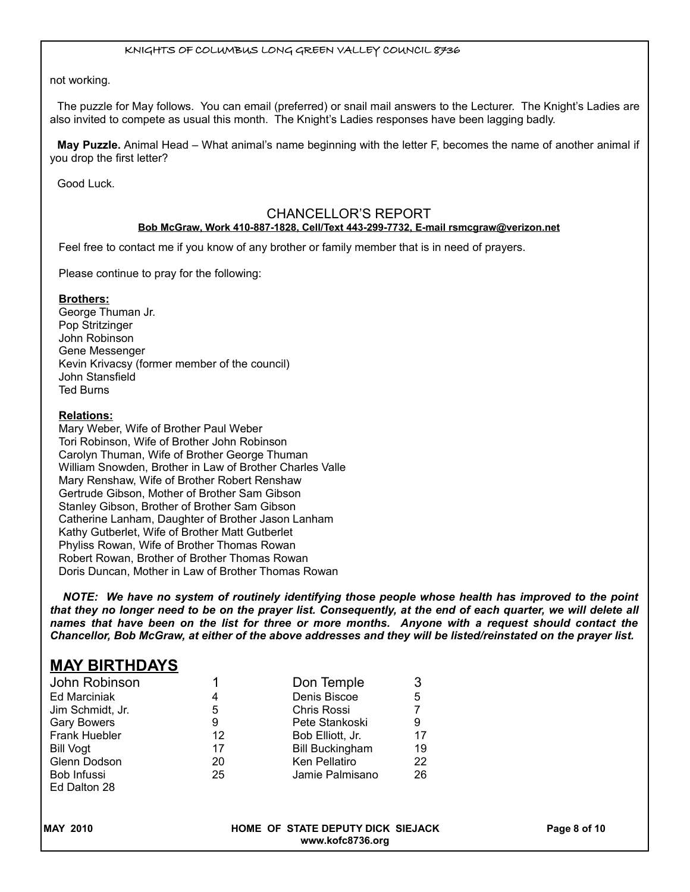not working.

The puzzle for May follows. You can email (preferred) or snail mail answers to the Lecturer. The Knight's Ladies are also invited to compete as usual this month. The Knight's Ladies responses have been lagging badly.

**May Puzzle.** Animal Head – What animal's name beginning with the letter F, becomes the name of another animal if you drop the first letter?

Good Luck.

## CHANCELLOR'S REPORT

#### **Bob McGraw, Work 410-887-1828, Cell/Text 443-299-7732, E-mail rsmcgraw@verizon.net**

Feel free to contact me if you know of any brother or family member that is in need of prayers.

Please continue to pray for the following:

#### **Brothers:**

George Thuman Jr. Pop Stritzinger John Robinson Gene Messenger Kevin Krivacsy (former member of the council) John Stansfield Ted Burns

#### **Relations:**

Mary Weber, Wife of Brother Paul Weber Tori Robinson, Wife of Brother John Robinson Carolyn Thuman, Wife of Brother George Thuman William Snowden, Brother in Law of Brother Charles Valle Mary Renshaw, Wife of Brother Robert Renshaw Gertrude Gibson, Mother of Brother Sam Gibson Stanley Gibson, Brother of Brother Sam Gibson Catherine Lanham, Daughter of Brother Jason Lanham Kathy Gutberlet, Wife of Brother Matt Gutberlet Phyliss Rowan, Wife of Brother Thomas Rowan Robert Rowan, Brother of Brother Thomas Rowan Doris Duncan, Mother in Law of Brother Thomas Rowan

*NOTE: We have no system of routinely identifying those people whose health has improved to the point that they no longer need to be on the prayer list. Consequently, at the end of each quarter, we will delete all names that have been on the list for three or more months. Anyone with a request should contact the Chancellor, Bob McGraw, at either of the above addresses and they will be listed/reinstated on the prayer list.*

## **MAY BIRTHDAYS**

| John Robinson      |    | Don Temple             | 3  |
|--------------------|----|------------------------|----|
| Ed Marciniak       | 4  | Denis Biscoe           | 5  |
| Jim Schmidt, Jr.   | 5  | Chris Rossi            |    |
| <b>Gary Bowers</b> | 9  | Pete Stankoski         | 9  |
| Frank Huebler      | 12 | Bob Elliott, Jr.       | 17 |
| Bill Vogt          | 17 | <b>Bill Buckingham</b> | 19 |
| Glenn Dodson       | 20 | Ken Pellatiro          | 22 |
| Bob Infussi        | 25 | Jamie Palmisano        | 26 |
| Ed Dalton 28       |    |                        |    |

| <b>MAY 2010</b> | HOME OF STATE DEPUTY DICK SIEJACK | Page 8 of 10 |
|-----------------|-----------------------------------|--------------|
|                 | www.kofc8736.org                  |              |

**www.kofc8736.org**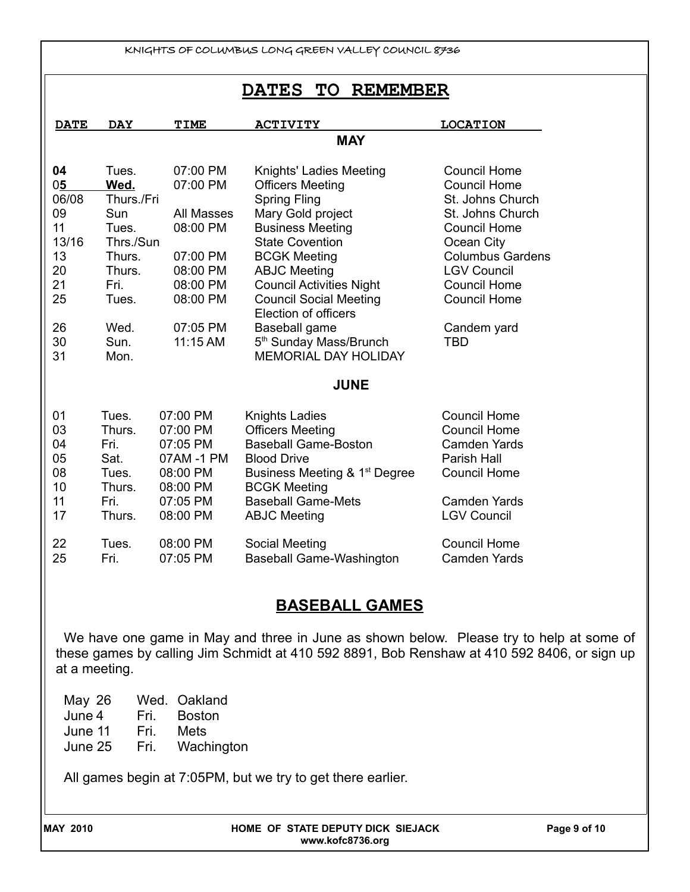## **DATES TO REMEMBER**

| <b>DATE</b> | <b>DAY</b> | <b>TIME</b> | <b>ACTIVITY</b>                           | <b>LOCATION</b>         |
|-------------|------------|-------------|-------------------------------------------|-------------------------|
|             |            |             | <b>MAY</b>                                |                         |
| 04          | Tues.      | 07:00 PM    | Knights' Ladies Meeting                   | <b>Council Home</b>     |
| 05          | Wed.       | 07:00 PM    | <b>Officers Meeting</b>                   | <b>Council Home</b>     |
| 06/08       | Thurs./Fri |             | <b>Spring Fling</b>                       | St. Johns Church        |
| 09          | Sun        | All Masses  | Mary Gold project                         | St. Johns Church        |
| 11          | Tues.      | 08:00 PM    | <b>Business Meeting</b>                   | <b>Council Home</b>     |
| 13/16       | Thrs./Sun  |             | <b>State Covention</b>                    | Ocean City              |
| 13          | Thurs.     | 07:00 PM    | <b>BCGK Meeting</b>                       | <b>Columbus Gardens</b> |
| 20          | Thurs.     | 08:00 PM    | <b>ABJC Meeting</b>                       | <b>LGV Council</b>      |
| 21          | Fri.       | 08:00 PM    | <b>Council Activities Night</b>           | <b>Council Home</b>     |
| 25          | Tues.      | 08:00 PM    | <b>Council Social Meeting</b>             | <b>Council Home</b>     |
|             |            |             | Election of officers                      |                         |
| 26          | Wed.       | 07:05 PM    | Baseball game                             | Candem yard             |
| 30          | Sun.       | 11:15 AM    | 5 <sup>th</sup> Sunday Mass/Brunch        | <b>TBD</b>              |
| 31          | Mon.       |             | <b>MEMORIAL DAY HOLIDAY</b>               |                         |
|             |            |             | <b>JUNE</b>                               |                         |
| 01          | Tues.      | 07:00 PM    | <b>Knights Ladies</b>                     | <b>Council Home</b>     |
| 03          | Thurs.     | 07:00 PM    | <b>Officers Meeting</b>                   | Council Home            |
| 04          | Fri.       | 07:05 PM    | <b>Baseball Game-Boston</b>               | <b>Camden Yards</b>     |
| 05          | Sat.       | 07AM -1 PM  | <b>Blood Drive</b>                        | <b>Parish Hall</b>      |
| 08          | Tues.      | 08:00 PM    | Business Meeting & 1 <sup>st</sup> Degree | <b>Council Home</b>     |
| 10          | Thurs.     | 08:00 PM    | <b>BCGK Meeting</b>                       |                         |
| 11          | Fri.       | 07:05 PM    | <b>Baseball Game-Mets</b>                 | <b>Camden Yards</b>     |
| 17          | Thurs.     | 08:00 PM    | <b>ABJC Meeting</b>                       | <b>LGV Council</b>      |
| 22          | Tues.      | 08:00 PM    | Social Meeting                            | <b>Council Home</b>     |
| 25          | Fri.       | 07:05 PM    | <b>Baseball Game-Washington</b>           | <b>Camden Yards</b>     |

# **BASEBALL GAMES**

We have one game in May and three in June as shown below. Please try to help at some of these games by calling Jim Schmidt at 410 592 8891, Bob Renshaw at 410 592 8406, or sign up at a meeting.

May 26 Wed. Oakland June 4 Fri. Boston June 11 Fri. Mets June 25 Fri. Wachington

All games begin at 7:05PM, but we try to get there earlier.

| <b>MAY 2010</b> | HOME OF STATE DEPUTY DICK SIEJACK<br>www.kofc8736.org | Page 9 of 10 |
|-----------------|-------------------------------------------------------|--------------|
|                 |                                                       |              |